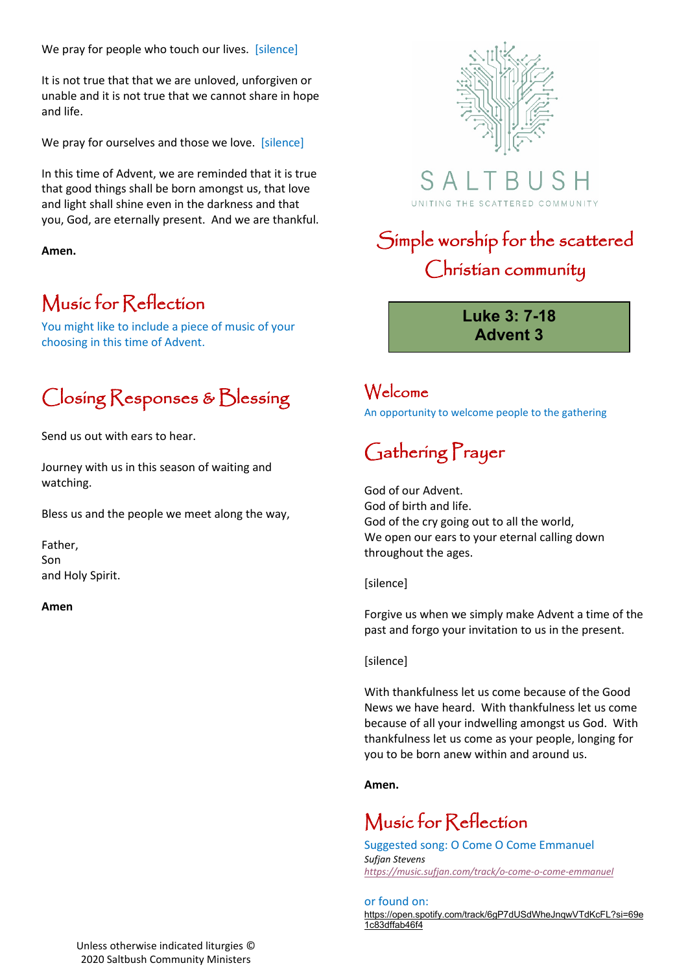We pray for people who touch our lives. [silence]

It is not true that that we are unloved, unforgiven or unable and it is not true that we cannot share in hope and life.

We pray for ourselves and those we love. [silence]

In this time of Advent, we are reminded that it is true that good things shall be born amongst us, that love and light shall shine even in the darkness and that you, God, are eternally present. And we are thankful.

**Amen.**

#### Music for Reflection

You might like to include a piece of music of your choosing in this time of Advent.

### Closing Responses & Blessing

Send us out with ears to hear.

Journey with us in this season of waiting and watching.

Bless us and the people we meet along the way,

Father, Son and Holy Spirit.

**Amen**





## Simple worship for the scattered Christian community

**Luke 3: 7-18 Advent 3**

#### Welcome

An opportunity to welcome people to the gathering

# Gathering Prayer

God of our Advent. God of birth and life. God of the cry going out to all the world, We open our ears to your eternal calling down throughout the ages.

[silence]

Forgive us when we simply make Advent a time of the past and forgo your invitation to us in the present.

[silence]

With thankfulness let us come because of the Good News we have heard. With thankfulness let us come because of all your indwelling amongst us God. With thankfulness let us come as your people, longing for you to be born anew within and around us.

**Amen.**

#### Music for Reflection

Suggested song: O Come O Come Emmanuel *Sufjan Stevens <https://music.sufjan.com/track/o-come-o-come-emmanuel>*

#### or found on:

[https://open.spotify.com/track/6gP7dUSdWheJnqwVTdKcFL?si=69e](https://open.spotify.com/track/6gP7dUSdWheJnqwVTdKcFL?si=69e1c83dffab46f4) [1c83dffab46f4](https://open.spotify.com/track/6gP7dUSdWheJnqwVTdKcFL?si=69e1c83dffab46f4)